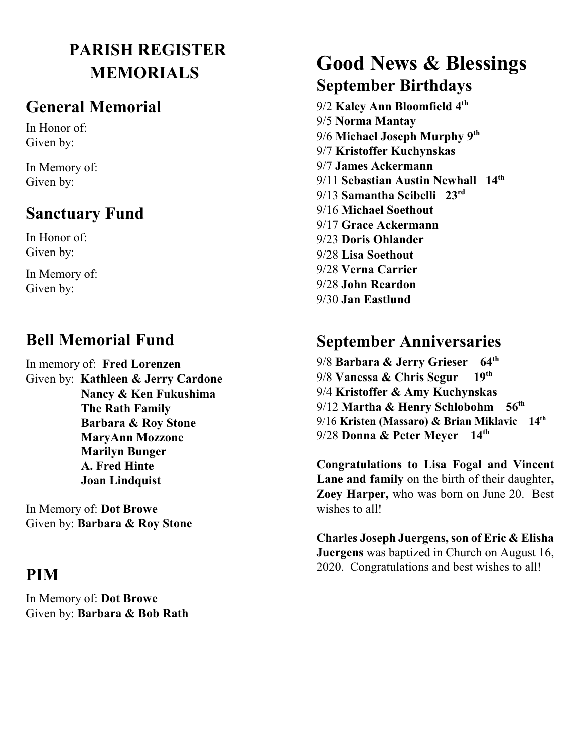## **PARISH REGISTER MEMORIALS**

#### **General Memorial**

In Honor of: Given by:

In Memory of: Given by:

#### **Sanctuary Fund**

In Honor of: Given by:

In Memory of: Given by:

#### **Bell Memorial Fund**

In memory of: **Fred Lorenzen** Given by: **Kathleen & Jerry Cardone Nancy & Ken Fukushima The Rath Family Barbara & Roy Stone MaryAnn Mozzone Marilyn Bunger A. Fred Hinte Joan Lindquist**

In Memory of: **Dot Browe** Given by: **Barbara & Roy Stone**

#### **PIM**

In Memory of: **Dot Browe** Given by: **Barbara & Bob Rath**

## **Good News & Blessings September Birthdays**

9/2 **Kaley Ann Bloomfield 4th**  9/5 **Norma Mantay** 9/6 **Michael Joseph Murphy 9th**  9/7 **Kristoffer Kuchynskas** 9/7 **James Ackermann** 9/11 **Sebastian Austin Newhall 14th**  9/13 **Samantha Scibelli 23rd**  9/16 **Michael Soethout** 9/17 **Grace Ackermann** 9/23 **Doris Ohlander** 9/28 **Lisa Soethout** 9/28 **Verna Carrier** 9/28 **John Reardon**  9/30 **Jan Eastlund**

### **September Anniversaries**

9/8 **Barbara & Jerry Grieser 64th**  9/8 **Vanessa & Chris Segur 19th** 9/4 **Kristoffer & Amy Kuchynskas** 9/12 **Martha & Henry Schlobohm 56th**  9/16 **Kristen (Massaro) & Brian Miklavic 14th** 9/28 **Donna & Peter Meyer 14th**

**Congratulations to Lisa Fogal and Vincent Lane and family** on the birth of their daughter**, Zoey Harper,** who was born on June 20. Best wishes to all!

**Charles Joseph Juergens, son of Eric & Elisha Juergens** was baptized in Church on August 16, 2020. Congratulations and best wishes to all!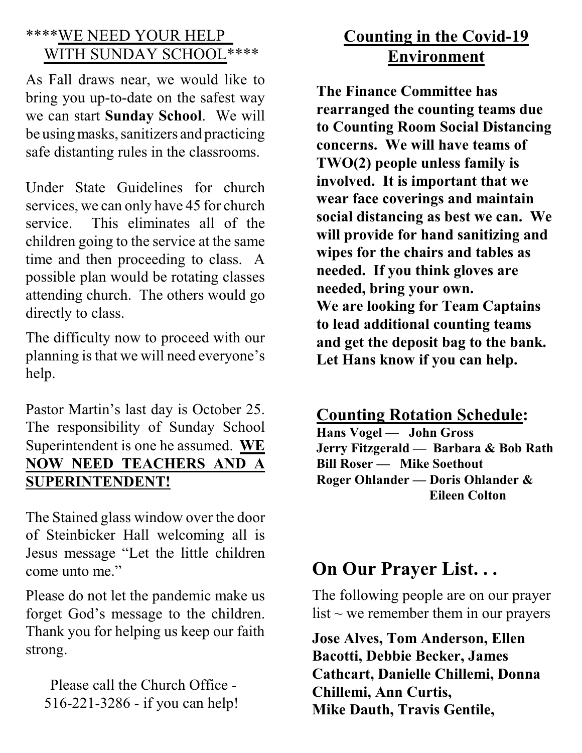#### \*\*\*\*WE NEED YOUR HELP WITH SUNDAY SCHOOL \*\*\*\*

As Fall draws near, we would like to bring you up-to-date on the safest way we can start **Sunday School**. We will be usingmasks, sanitizers and practicing safe distanting rules in the classrooms.

Under State Guidelines for church services, we can only have 45 for church service. This eliminates all of the children going to the service at the same time and then proceeding to class. A possible plan would be rotating classes attending church. The others would go directly to class.

The difficulty now to proceed with our planning is that we will need everyone's help.

Pastor Martin's last day is October 25. The responsibility of Sunday School Superintendent is one he assumed. **WE NOW NEED TEACHERS AND A SUPERINTENDENT!**

The Stained glass window over the door of Steinbicker Hall welcoming all is Jesus message "Let the little children come unto me."

Please do not let the pandemic make us forget God's message to the children. Thank you for helping us keep our faith strong.

Please call the Church Office - 516-221-3286 - if you can help!

#### **Counting in the Covid-19 Environment**

**The Finance Committee has rearranged the counting teams due to Counting Room Social Distancing concerns. We will have teams of TWO(2) people unless family is involved. It is important that we wear face coverings and maintain social distancing as best we can. We will provide for hand sanitizing and wipes for the chairs and tables as needed. If you think gloves are needed, bring your own. We are looking for Team Captains to lead additional counting teams and get the deposit bag to the bank. Let Hans know if you can help.** 

**Counting Rotation Schedule:**

**Hans Vogel — John Gross Jerry Fitzgerald — Barbara & Bob Rath Bill Roser — Mike Soethout Roger Ohlander — Doris Ohlander & Eileen Colton** 

# **On Our Prayer List. . .**

The following people are on our prayer list  $\sim$  we remember them in our prayers

**Jose Alves, Tom Anderson, Ellen Bacotti, Debbie Becker, James Cathcart, Danielle Chillemi, Donna Chillemi, Ann Curtis, Mike Dauth, Travis Gentile,**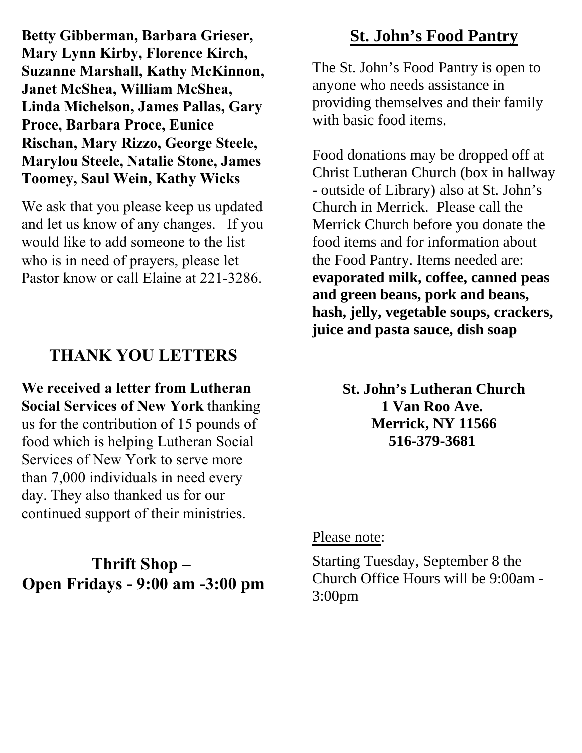**Betty Gibberman, Barbara Grieser, Mary Lynn Kirby, Florence Kirch, Suzanne Marshall, Kathy McKinnon, Janet McShea, William McShea, Linda Michelson, James Pallas, Gary Proce, Barbara Proce, Eunice Rischan, Mary Rizzo, George Steele, Marylou Steele, Natalie Stone, James Toomey, Saul Wein, Kathy Wicks** 

We ask that you please keep us updated and let us know of any changes. If you would like to add someone to the list who is in need of prayers, please let Pastor know or call Elaine at 221-3286.

#### **THANK YOU LETTERS**

**We received a letter from Lutheran Social Services of New York** thanking us for the contribution of 15 pounds of food which is helping Lutheran Social Services of New York to serve more than 7,000 individuals in need every day. They also thanked us for our continued support of their ministries.

### **Thrift Shop – Open Fridays - 9:00 am -3:00 pm**

### **St. John's Food Pantry**

The St. John's Food Pantry is open to anyone who needs assistance in providing themselves and their family with basic food items.

Food donations may be dropped off at Christ Lutheran Church (box in hallway - outside of Library) also at St. John's Church in Merrick. Please call the Merrick Church before you donate the food items and for information about the Food Pantry. Items needed are: **evaporated milk, coffee, canned peas and green beans, pork and beans, hash, jelly, vegetable soups, crackers, juice and pasta sauce, dish soap** 

> **St. John's Lutheran Church 1 Van Roo Ave. Merrick, NY 11566 516-379-3681**

#### Please note:

Starting Tuesday, September 8 the Church Office Hours will be 9:00am - 3:00pm